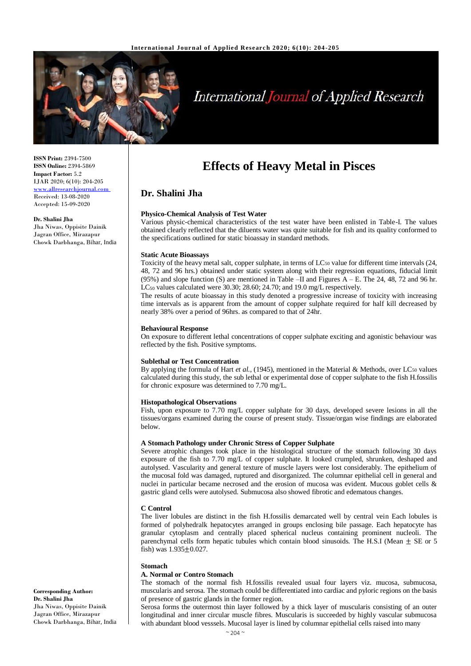

# **International Journal of Applied Research**

**ISSN Print:** 2394-7500 **ISSN Online:** 2394-5869 **Impact Factor:** 5.2 IJAR 2020; 6(10): 204-205 <www.allresearchjournal.com> Received: 13-08-2020 Accepted: 15-09-2020

**Dr. Shalini Jha** Jha Niwas, Oppisite Dainik Jagran Office, Mirazapur Chowk Darbhanga, Bihar, India

# **Effects of Heavy Metal in Pisces**

# **Dr. Shalini Jha**

#### **Physico-Chemical Analysis of Test Water**

Various physic-chemical characteristics of the test water have been enlisted in Table-I. The values obtained clearly reflected that the diluents water was quite suitable for fish and its quality conformed to the specifications outlined for static bioassay in standard methods.

#### **Static Acute Bioassays**

Toxicity of the heavy metal salt, copper sulphate, in terms of LC<sup>50</sup> value for different time intervals (24, 48, 72 and 96 hrs.) obtained under static system along with their regression equations, fiducial limit (95%) and slope function (S) are mentioned in Table –II and Figures  $A - E$ . The 24, 48, 72 and 96 hr. LC<sub>50</sub> values calculated were 30.30; 28.60; 24.70; and 19.0 mg/L respectively.

The results of acute bioassay in this study denoted a progressive increase of toxicity with increasing time intervals as is apparent from the amount of copper sulphate required for half kill decreased by nearly 38% over a period of 96hrs. as compared to that of 24hr.

#### **Behavioural Response**

On exposure to different lethal concentrations of copper sulphate exciting and agonistic behaviour was reflected by the fish. Positive symptoms.

#### **Sublethal or Test Concentration**

By applying the formula of Hart *et al.*, (1945), mentioned in the Material & Methods, over LC<sub>50</sub> values calculated during this study, the sub lethal or experimental dose of copper sulphate to the fish H.fossilis for chronic exposure was determined to 7.70 mg/L.

#### **Histopathological Observations**

Fish, upon exposure to 7.70 mg/L copper sulphate for 30 days, developed severe lesions in all the tissues/organs examined during the course of present study. Tissue/organ wise findings are elaborated below.

#### **A Stomach Pathology under Chronic Stress of Copper Sulphate**

Severe atrophic changes took place in the histological structure of the stomach following 30 days exposure of the fish to 7.70 mg/L of copper sulphate. It looked crumpled, shrunken, deshaped and autolysed. Vascularity and general texture of muscle layers were lost considerably. The epithelium of the mucosal fold was damaged, ruptured and disorganized. The columnar epithelial cell in general and nuclei in particular became necrosed and the erosion of mucosa was evident. Mucous goblet cells & gastric gland cells were autolysed. Submucosa also showed fibrotic and edematous changes.

#### **C Control**

The liver lobules are distinct in the fish H.fossilis demarcated well by central vein Each lobules is formed of polyhedralk hepatocytes arranged in groups enclosing bile passage. Each hepatocyte has granular cytoplasm and centrally placed spherical nucleus containing prominent nucleoli. The parenchymal cells form hepatic tubules which contain blood sinusoids. The H.S.I (Mean  $\pm$  SE or 5 fish) was  $1.935 \pm 0.027$ .

#### **Stomach**

#### **A. Normal or Contro Stomach**

The stomach of the normal fish H.fossilis revealed usual four layers viz. mucosa, submucosa, muscularis and serosa. The stomach could be differentiated into cardiac and pyloric regions on the basis of presence of gastric glands in the former region.

Serosa forms the outermost thin layer followed by a thick layer of muscularis consisting of an outer longitudinal and inner circular muscle fibres. Muscularis is succeeded by highly vascular submucosa with abundant blood vesssels. Mucosal layer is lined by columnar epithelial cells raised into many

**Corresponding Author: Dr. Shalini Jha** Jha Niwas, Oppisite Dainik Jagran Office, Mirazapur Chowk Darbhanga, Bihar, India